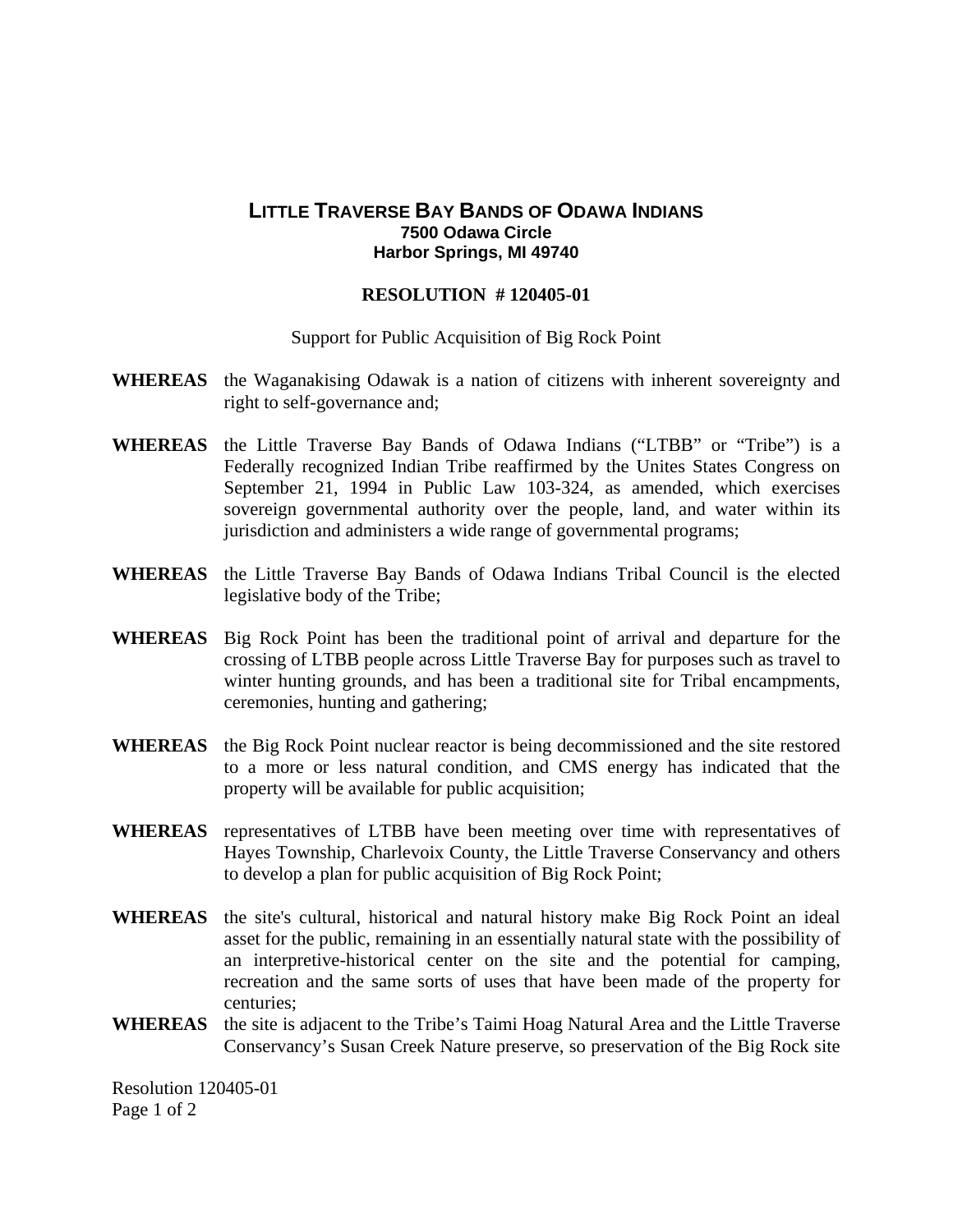## **LITTLE TRAVERSE BAY BANDS OF ODAWA INDIANS 7500 Odawa Circle Harbor Springs, MI 49740**

## **RESOLUTION # 120405-01**

Support for Public Acquisition of Big Rock Point

- **WHEREAS** the Waganakising Odawak is a nation of citizens with inherent sovereignty and right to self-governance and;
- **WHEREAS** the Little Traverse Bay Bands of Odawa Indians ("LTBB" or "Tribe") is a Federally recognized Indian Tribe reaffirmed by the Unites States Congress on September 21, 1994 in Public Law 103-324, as amended, which exercises sovereign governmental authority over the people, land, and water within its jurisdiction and administers a wide range of governmental programs;
- **WHEREAS** the Little Traverse Bay Bands of Odawa Indians Tribal Council is the elected legislative body of the Tribe;
- **WHEREAS** Big Rock Point has been the traditional point of arrival and departure for the crossing of LTBB people across Little Traverse Bay for purposes such as travel to winter hunting grounds, and has been a traditional site for Tribal encampments, ceremonies, hunting and gathering;
- **WHEREAS** the Big Rock Point nuclear reactor is being decommissioned and the site restored to a more or less natural condition, and CMS energy has indicated that the property will be available for public acquisition;
- **WHEREAS** representatives of LTBB have been meeting over time with representatives of Hayes Township, Charlevoix County, the Little Traverse Conservancy and others to develop a plan for public acquisition of Big Rock Point;
- **WHEREAS** the site's cultural, historical and natural history make Big Rock Point an ideal asset for the public, remaining in an essentially natural state with the possibility of an interpretive-historical center on the site and the potential for camping, recreation and the same sorts of uses that have been made of the property for centuries;
- **WHEREAS** the site is adjacent to the Tribe's Taimi Hoag Natural Area and the Little Traverse Conservancy's Susan Creek Nature preserve, so preservation of the Big Rock site

Resolution 120405-01 Page 1 of 2